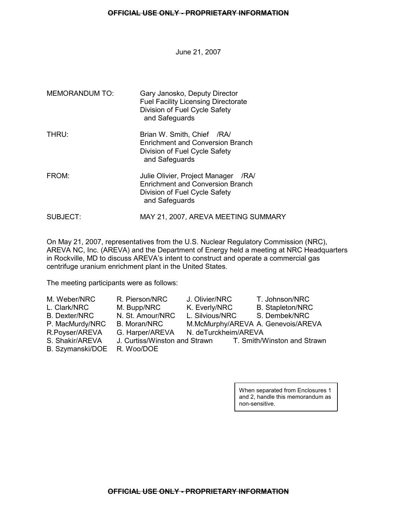June 21, 2007

| <b>MEMORANDUM TO:</b> | Gary Janosko, Deputy Director<br><b>Fuel Facility Licensing Directorate</b><br>Division of Fuel Cycle Safety<br>and Safeguards       |
|-----------------------|--------------------------------------------------------------------------------------------------------------------------------------|
| THRU:                 | Brian W. Smith, Chief /RA/<br>Enrichment and Conversion Branch<br>Division of Fuel Cycle Safety<br>and Safeguards                    |
| FROM:                 | Julie Olivier, Project Manager<br>/RA/<br><b>Enrichment and Conversion Branch</b><br>Division of Fuel Cycle Safety<br>and Safeguards |
| SUBJECT:              | MAY 21, 2007, AREVA MEETING SUMMARY                                                                                                  |

On May 21, 2007, representatives from the U.S. Nuclear Regulatory Commission (NRC), AREVA NC, Inc. (AREVA) and the Department of Energy held a meeting at NRC Headquarters in Rockville, MD to discuss AREVA's intent to construct and operate a commercial gas centrifuge uranium enrichment plant in the United States.

The meeting participants were as follows:

| M. Weber/NRC         | R. Pierson/NRC      | J. Olivier/NRC                     | T. Johnson/NRC                                            |
|----------------------|---------------------|------------------------------------|-----------------------------------------------------------|
| L. Clark/NRC         | M. Bupp/NRC         | K. Everly/NRC                      | <b>B.</b> Stapleton/NRC                                   |
| <b>B.</b> Dexter/NRC | N. St. Amour/NRC    | L. Silvious/NRC                    | S. Dembek/NRC                                             |
| P. MacMurdy/NRC      | <b>B. Moran/NRC</b> | M.McMurphy/AREVA A. Genevois/AREVA |                                                           |
| R.Poyser/AREVA       | G. Harper/AREVA     | N. deTurckheim/AREVA               |                                                           |
| S. Shakir/AREVA      |                     |                                    | J. Curtiss/Winston and Strawn T. Smith/Winston and Strawn |
| B. Szymanski/DOE     | R. Woo/DOE          |                                    |                                                           |
|                      |                     |                                    |                                                           |

When separated from Enclosures 1 and 2, handle this memorandum as non-sensitive.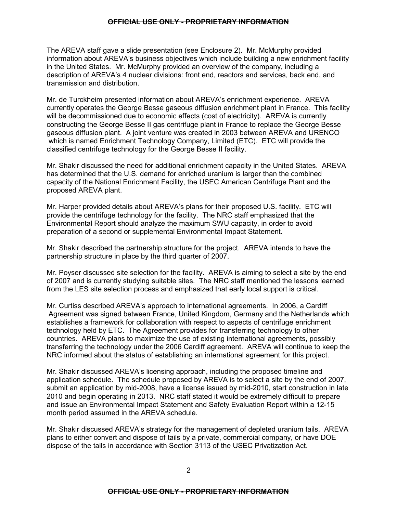The AREVA staff gave a slide presentation (see Enclosure 2). Mr. McMurphy provided information about AREVA's business objectives which include building a new enrichment facility in the United States. Mr. McMurphy provided an overview of the company, including a description of AREVA's 4 nuclear divisions: front end, reactors and services, back end, and transmission and distribution.

Mr. de Turckheim presented information about AREVA's enrichment experience. AREVA currently operates the George Besse gaseous diffusion enrichment plant in France. This facility will be decommissioned due to economic effects (cost of electricity). AREVA is currently constructing the George Besse II gas centrifuge plant in France to replace the George Besse gaseous diffusion plant. A joint venture was created in 2003 between AREVA and URENCO which is named Enrichment Technology Company, Limited (ETC). ETC will provide the classified centrifuge technology for the George Besse II facility.

Mr. Shakir discussed the need for additional enrichment capacity in the United States. AREVA has determined that the U.S. demand for enriched uranium is larger than the combined capacity of the National Enrichment Facility, the USEC American Centrifuge Plant and the proposed AREVA plant.

Mr. Harper provided details about AREVA's plans for their proposed U.S. facility. ETC will provide the centrifuge technology for the facility. The NRC staff emphasized that the Environmental Report should analyze the maximum SWU capacity, in order to avoid preparation of a second or supplemental Environmental Impact Statement.

Mr. Shakir described the partnership structure for the project. AREVA intends to have the partnership structure in place by the third quarter of 2007.

Mr. Poyser discussed site selection for the facility. AREVA is aiming to select a site by the end of 2007 and is currently studying suitable sites. The NRC staff mentioned the lessons learned from the LES site selection process and emphasized that early local support is critical.

Mr. Curtiss described AREVA's approach to international agreements. In 2006, a Cardiff Agreement was signed between France, United Kingdom, Germany and the Netherlands which establishes a framework for collaboration with respect to aspects of centrifuge enrichment technology held by ETC. The Agreement provides for transferring technology to other countries. AREVA plans to maximize the use of existing international agreements, possibly transferring the technology under the 2006 Cardiff agreement. AREVA will continue to keep the NRC informed about the status of establishing an international agreement for this project.

Mr. Shakir discussed AREVA's licensing approach, including the proposed timeline and application schedule. The schedule proposed by AREVA is to select a site by the end of 2007, submit an application by mid-2008, have a license issued by mid-2010, start construction in late 2010 and begin operating in 2013. NRC staff stated it would be extremely difficult to prepare and issue an Environmental Impact Statement and Safety Evaluation Report within a 12-15 month period assumed in the AREVA schedule.

Mr. Shakir discussed AREVA's strategy for the management of depleted uranium tails. AREVA plans to either convert and dispose of tails by a private, commercial company, or have DOE dispose of the tails in accordance with Section 3113 of the USEC Privatization Act.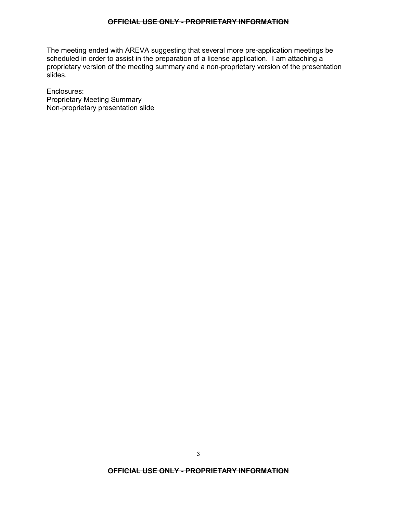The meeting ended with AREVA suggesting that several more pre-application meetings be scheduled in order to assist in the preparation of a license application. I am attaching a proprietary version of the meeting summary and a non-proprietary version of the presentation slides.

Enclosures: Proprietary Meeting Summary Non-proprietary presentation slide